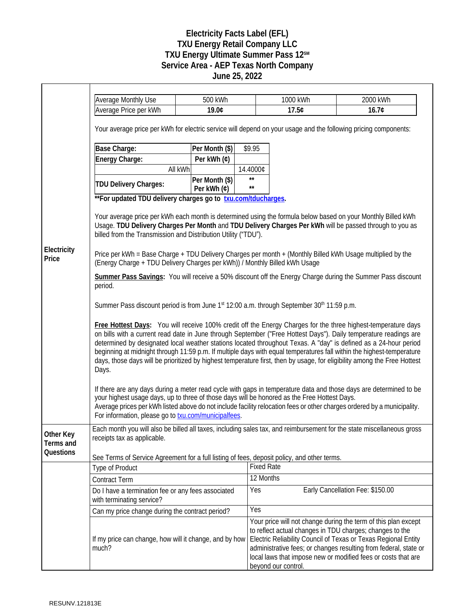## **Electricity Facts Label (EFL) TXU Energy Retail Company LLC** TXU Energy Ultimate Summer Pass 12<sup>SM</sup> **Service Area - AEP Texas North Company June 25, 2022**

|                        | <b>Average Monthly Use</b>                                                                                                                                                                                                                                                                                                                                                                                                                                                                                                                                                                                           | 500 kWh                       |                              | 1000 kWh            | 2000 kWh                                                                                                                                                                                                                                                                                                                          |  |
|------------------------|----------------------------------------------------------------------------------------------------------------------------------------------------------------------------------------------------------------------------------------------------------------------------------------------------------------------------------------------------------------------------------------------------------------------------------------------------------------------------------------------------------------------------------------------------------------------------------------------------------------------|-------------------------------|------------------------------|---------------------|-----------------------------------------------------------------------------------------------------------------------------------------------------------------------------------------------------------------------------------------------------------------------------------------------------------------------------------|--|
|                        | Average Price per kWh                                                                                                                                                                                                                                                                                                                                                                                                                                                                                                                                                                                                | 19.0¢                         |                              | 17.5¢               | 16.7¢                                                                                                                                                                                                                                                                                                                             |  |
|                        | Your average price per kWh for electric service will depend on your usage and the following pricing components:                                                                                                                                                                                                                                                                                                                                                                                                                                                                                                      |                               |                              |                     |                                                                                                                                                                                                                                                                                                                                   |  |
|                        | Base Charge:                                                                                                                                                                                                                                                                                                                                                                                                                                                                                                                                                                                                         | Per Month (\$)                | \$9.95                       |                     |                                                                                                                                                                                                                                                                                                                                   |  |
|                        | Energy Charge:                                                                                                                                                                                                                                                                                                                                                                                                                                                                                                                                                                                                       | Per kWh (¢)                   |                              |                     |                                                                                                                                                                                                                                                                                                                                   |  |
|                        | All kWh                                                                                                                                                                                                                                                                                                                                                                                                                                                                                                                                                                                                              |                               | 14.4000¢                     |                     |                                                                                                                                                                                                                                                                                                                                   |  |
|                        | TDU Delivery Charges:                                                                                                                                                                                                                                                                                                                                                                                                                                                                                                                                                                                                | Per Month (\$)<br>Per kWh (¢) | $\star\star$<br>$\star\star$ |                     |                                                                                                                                                                                                                                                                                                                                   |  |
|                        | **For updated TDU delivery charges go to txu.com/tducharges.                                                                                                                                                                                                                                                                                                                                                                                                                                                                                                                                                         |                               |                              |                     |                                                                                                                                                                                                                                                                                                                                   |  |
|                        | Your average price per kWh each month is determined using the formula below based on your Monthly Billed kWh<br>Usage. TDU Delivery Charges Per Month and TDU Delivery Charges Per kWh will be passed through to you as<br>billed from the Transmission and Distribution Utility ("TDU").                                                                                                                                                                                                                                                                                                                            |                               |                              |                     |                                                                                                                                                                                                                                                                                                                                   |  |
| Electricity<br>Price   | Price per kWh = Base Charge + TDU Delivery Charges per month + (Monthly Billed kWh Usage multiplied by the<br>(Energy Charge + TDU Delivery Charges per kWh)) / Monthly Billed kWh Usage                                                                                                                                                                                                                                                                                                                                                                                                                             |                               |                              |                     |                                                                                                                                                                                                                                                                                                                                   |  |
|                        | Summer Pass Savings: You will receive a 50% discount off the Energy Charge during the Summer Pass discount<br>period.                                                                                                                                                                                                                                                                                                                                                                                                                                                                                                |                               |                              |                     |                                                                                                                                                                                                                                                                                                                                   |  |
|                        | Summer Pass discount period is from June 1 <sup>st</sup> 12:00 a.m. through September 30 <sup>th</sup> 11:59 p.m.                                                                                                                                                                                                                                                                                                                                                                                                                                                                                                    |                               |                              |                     |                                                                                                                                                                                                                                                                                                                                   |  |
|                        | Free Hottest Days: You will receive 100% credit off the Energy Charges for the three highest-temperature days<br>on bills with a current read date in June through September ("Free Hottest Days"). Daily temperature readings are<br>determined by designated local weather stations located throughout Texas. A "day" is defined as a 24-hour period<br>beginning at midnight through 11:59 p.m. If multiple days with equal temperatures fall within the highest-temperature<br>days, those days will be prioritized by highest temperature first, then by usage, for eligibility among the Free Hottest<br>Days. |                               |                              |                     |                                                                                                                                                                                                                                                                                                                                   |  |
|                        | If there are any days during a meter read cycle with gaps in temperature data and those days are determined to be<br>your highest usage days, up to three of those days will be honored as the Free Hottest Days.<br>Average prices per kWh listed above do not include facility relocation fees or other charges ordered by a municipality.<br>For information, please go to <b>txu.com/municipalfees</b> .                                                                                                                                                                                                         |                               |                              |                     |                                                                                                                                                                                                                                                                                                                                   |  |
| Other Key<br>Terms and | Each month you will also be billed all taxes, including sales tax, and reimbursement for the state miscellaneous gross<br>receipts tax as applicable.                                                                                                                                                                                                                                                                                                                                                                                                                                                                |                               |                              |                     |                                                                                                                                                                                                                                                                                                                                   |  |
| Questions              | See Terms of Service Agreement for a full listing of fees, deposit policy, and other terms.                                                                                                                                                                                                                                                                                                                                                                                                                                                                                                                          |                               |                              |                     |                                                                                                                                                                                                                                                                                                                                   |  |
|                        | <b>Type of Product</b>                                                                                                                                                                                                                                                                                                                                                                                                                                                                                                                                                                                               |                               | <b>Fixed Rate</b>            |                     |                                                                                                                                                                                                                                                                                                                                   |  |
|                        | <b>Contract Term</b>                                                                                                                                                                                                                                                                                                                                                                                                                                                                                                                                                                                                 |                               | 12 Months                    |                     |                                                                                                                                                                                                                                                                                                                                   |  |
|                        | Do I have a termination fee or any fees associated<br>with terminating service?                                                                                                                                                                                                                                                                                                                                                                                                                                                                                                                                      |                               | Yes                          |                     | Early Cancellation Fee: \$150.00                                                                                                                                                                                                                                                                                                  |  |
|                        | Can my price change during the contract period?                                                                                                                                                                                                                                                                                                                                                                                                                                                                                                                                                                      |                               | Yes                          |                     |                                                                                                                                                                                                                                                                                                                                   |  |
|                        | If my price can change, how will it change, and by how<br>much?                                                                                                                                                                                                                                                                                                                                                                                                                                                                                                                                                      |                               |                              | beyond our control. | Your price will not change during the term of this plan except<br>to reflect actual changes in TDU charges; changes to the<br>Electric Reliability Council of Texas or Texas Regional Entity<br>administrative fees; or changes resulting from federal, state or<br>local laws that impose new or modified fees or costs that are |  |